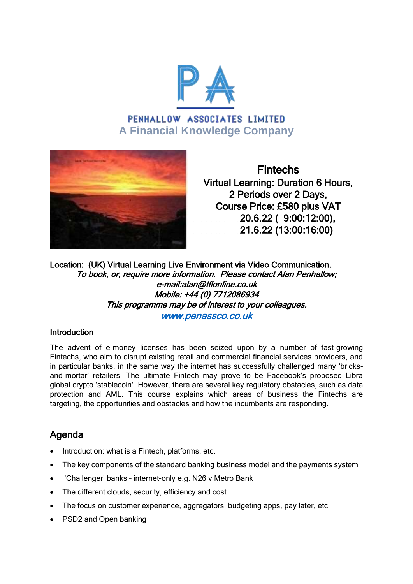

# PENHALLOW ASSOCIATES LIMITED **A Financial Knowledge Company**



Fintechs Virtual Learning: Duration 6 Hours, 2 Periods over 2 Days, Course Price: £580 plus VAT 20.6.22 ( 9:00:12:00), 21.6.22 (13:00:16:00)

Location: (UK) Virtual Learning Live Environment via Video Communication. To book, or, require more information. Please contact Alan Penhallow; e-mail:alan@tflonline.co.uk Mobile: +44 (0) 7712086934 This programme may be of interest to your colleagues. [www.penassco.co.uk](http://www.penassco.co.uk/) 

### **Introduction**

The advent of e-money licenses has been seized upon by a number of fast-growing Fintechs, who aim to disrupt existing retail and commercial financial services providers, and in particular banks, in the same way the internet has successfully challenged many 'bricksand-mortar' retailers. The ultimate Fintech may prove to be Facebook's proposed Libra global crypto 'stablecoin'. However, there are several key regulatory obstacles, such as data protection and AML. This course explains which areas of business the Fintechs are targeting, the opportunities and obstacles and how the incumbents are responding.

## Agenda

- Introduction: what is a Fintech, platforms, etc.
- The key components of the standard banking business model and the payments system
- 'Challenger' banks internet-only e.g. N26 v Metro Bank
- The different clouds, security, efficiency and cost
- The focus on customer experience, aggregators, budgeting apps, pay later, etc.
- PSD2 and Open banking